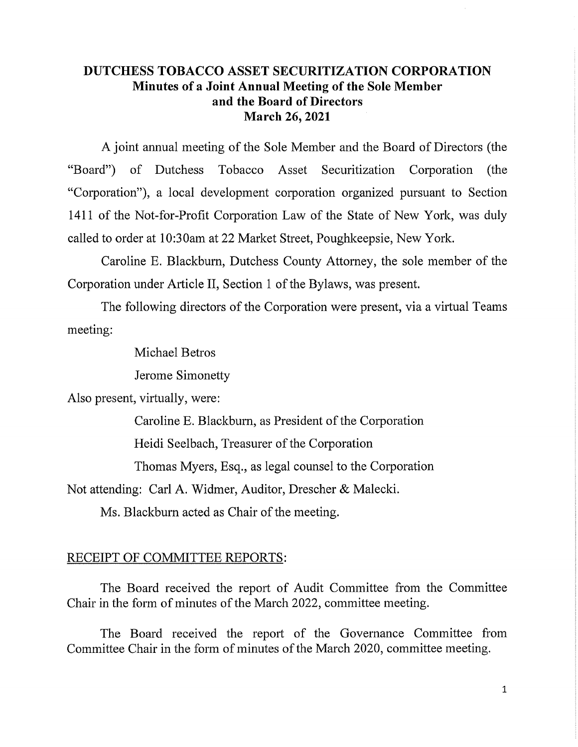## **DUTCHESS TOBACCO ASSET SECURITIZATION CORPORATION Minutes of a Joint Annual Meeting of the Sole Member and the Board of Directors March 26, 2021**

A joint annual meeting of the Sole Member and the Board of Directors (the "Board") of Dutchess Tobacco Asset Securitization Corporation (the "Corporation"), a local development corporation organized pursuant to Section 1411 of the Not-for-Profit Corporation Law of the State of New York, was duly called to order at 10:30am at 22 Market Street, Poughkeepsie, New York.

Caroline E. Blackbum, Dutchess County Attorney, the sole member of the Corporation under Article II, Section 1 of the Bylaws, was present.

The following directors of the Corporation were present, via a virtual Teams meeting:

Michael Betros

Jerome Simonetty

Also present, virtually, were:

Caroline E. Blackbum, as President of the Corporation

Heidi Seelbach, Treasurer of the Corporation

Thomas Myers, Esq., as legal counsel to the Corporation

Not attending: Carl A. Widmer, Auditor, Drescher & Malecki.

Ms. Blackbum acted as Chair of the meeting.

### RECEIPT OF COMMITTEE REPORTS:

The Board received the report of Audit Committee from the Committee Chair in the form of minutes of the March 2022, committee meeting.

The Board received the report of the Governance Committee from Committee Chair in the form of minutes of the March 2020, committee meeting.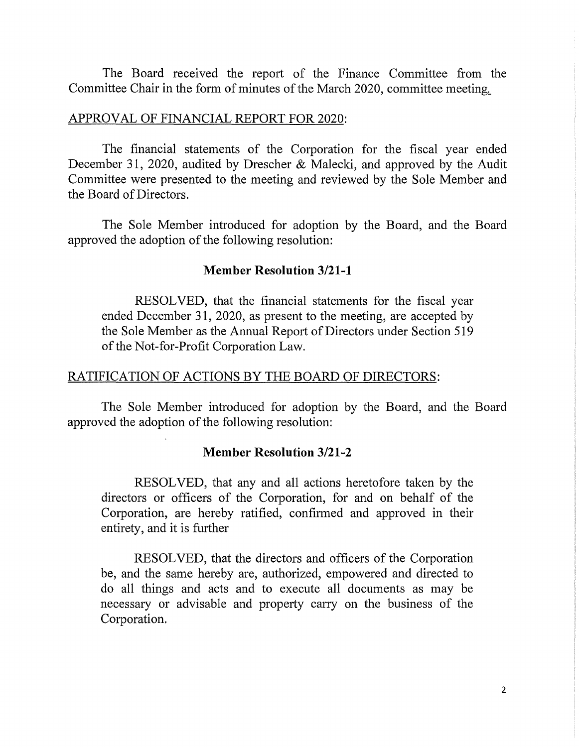The Board received the report of the Finance Committee from the Committee Chair in the form of minutes of the March 2020, committee meeting.

### APPROVAL OF FINANCIAL REPORT FOR 2020:

The financial statements of the Corporation for the fiscal year ended December 31, 2020, audited by Drescher & Malecki, and approved by the Audit Committee were presented to the meeting and reviewed by the Sole Member and the Board of Directors.

The Sole Member introduced for adoption by the Board, and the Board approved the adoption of the following resolution:

#### **Member Resolution 3/21-1**

RESOLVED, that the financial statements for the fiscal year ended December 31, 2020, as present to the meeting, are accepted by the Sole Member as the Annual Report of Directors under Section 519 of the Not-for-Profit Corporation Law.

### RATIFICATION OF ACTIONS BY THE BOARD OF DIRECTORS:

The Sole Member introduced for adoption by the Board, and the Board approved the adoption of the following resolution:

#### **Member Resolution 3/21-2**

RESOLVED, that any and all actions heretofore taken by the directors or officers of the Corporation, for and on behalf of the Corporation, are hereby ratified, confirmed and approved in their entirety, and it is further

RESOLVED, that the directors and officers of the Corporation be, and the same hereby are, authorized, empowered and directed to do all things and acts and to execute all documents as may be necessary or advisable and property cany on the business of the Corporation.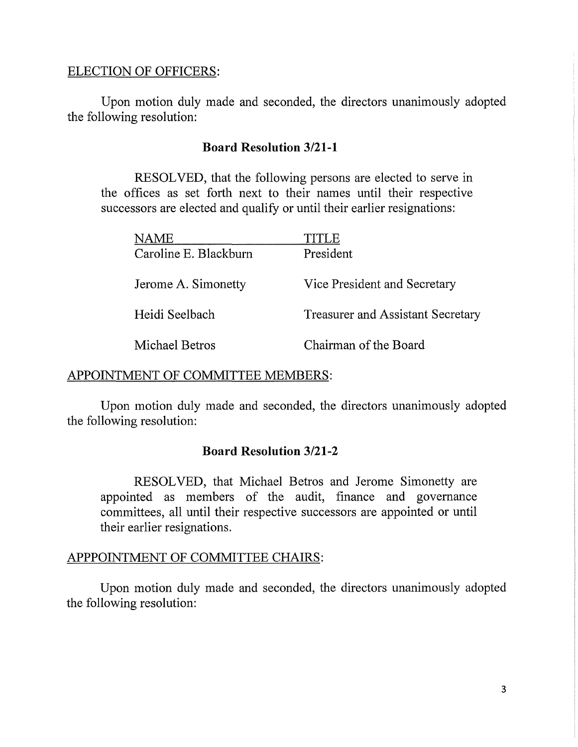## ELECTION OF OFFICERS:

Upon motion duly made and seconded, the directors unanimously adopted the following resolution:

## **Board Resolution 3/21-1**

RESOLVED, that the following persons are elected to serve in the offices as set forth next to their names until their respective successors are elected and qualify or until their earlier resignations:

| NAME                  | TITLE                                    |
|-----------------------|------------------------------------------|
| Caroline E. Blackburn | President                                |
| Jerome A. Simonetty   | Vice President and Secretary             |
| Heidi Seelbach        | <b>Treasurer and Assistant Secretary</b> |
| Michael Betros        | Chairman of the Board                    |

## APPOINTMENT OF COMMITTEE MEMBERS:

Upon motion duly made and seconded, the directors unanimously adopted the following resolution:

# **Board Resolution 3/21-2**

RESOLVED, that Michael Betros and Jerome Simonetty are appointed as members of the audit, finance and governance committees, all until their respective successors are appointed or until their earlier resignations.

## APPPOINTMENT OF COMMITTEE CHAIRS:

Upon motion duly made and seconded, the directors unanimously adopted the following resolution: